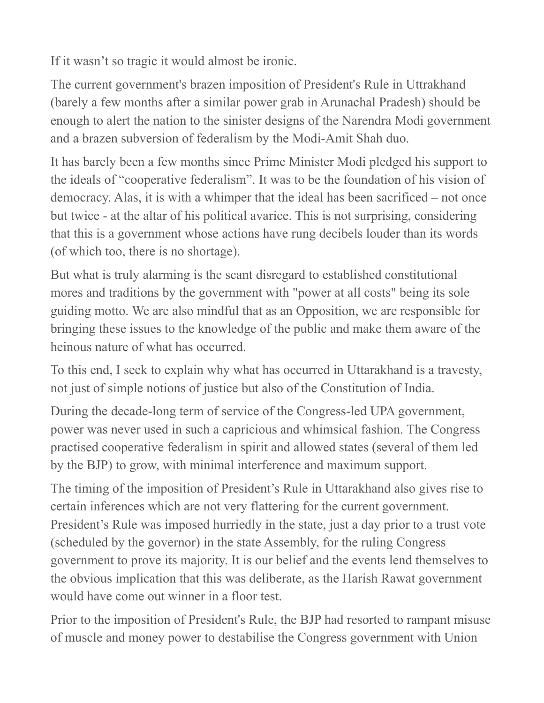If it wasn't so tragic it would almost be ironic.

The current government's brazen imposition of President's Rule in Uttrakhand (barely a few months after a similar power grab in Arunachal Pradesh) should be enough to alert the nation to the sinister designs of the Narendra Modi government and a brazen subversion of federalism by the Modi-Amit Shah duo.

It has barely been a few months since Prime Minister Modi pledged his support to the ideals of "cooperative federalism". It was to be the foundation of his vision of democracy. Alas, it is with a whimper that the ideal has been sacrificed – not once but twice - at the altar of his political avarice. This is not surprising, considering that this is a government whose actions have rung decibels louder than its words (of which too, there is no shortage).

But what is truly alarming is the scant disregard to established constitutional mores and traditions by the government with "power at all costs" being its sole guiding motto. We are also mindful that as an Opposition, we are responsible for bringing these issues to the knowledge of the public and make them aware of the heinous nature of what has occurred.

To this end, I seek to explain why what has occurred in Uttarakhand is a travesty, not just of simple notions of justice but also of the Constitution of India.

During the decade-long term of service of the Congress-led UPA government, power was never used in such a capricious and whimsical fashion. The Congress practised cooperative federalism in spirit and allowed states (several of them led by the BJP) to grow, with minimal interference and maximum support.

The timing of the imposition of President's Rule in Uttarakhand also gives rise to certain inferences which are not very flattering for the current government. President's Rule was imposed hurriedly in the state, just a day prior to a trust vote (scheduled by the governor) in the state Assembly, for the ruling Congress government to prove its majority. It is our belief and the events lend themselves to the obvious implication that this was deliberate, as the Harish Rawat government would have come out winner in a floor test.

Prior to the imposition of President's Rule, the BJP had resorted to rampant misuse of muscle and money power to destabilise the Congress government with Union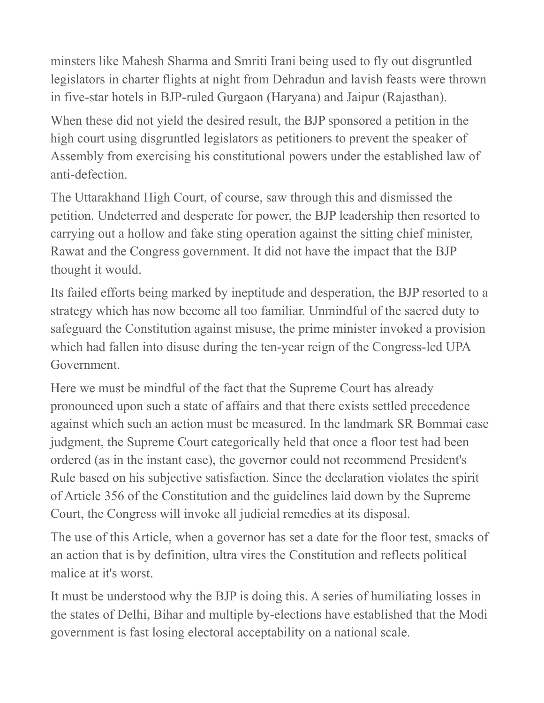minsters like Mahesh Sharma and Smriti Irani being used to fly out disgruntled legislators in charter flights at night from Dehradun and lavish feasts were thrown in five-star hotels in BJP-ruled Gurgaon (Haryana) and Jaipur (Rajasthan).

When these did not yield the desired result, the BJP sponsored a petition in the high court using disgruntled legislators as petitioners to prevent the speaker of Assembly from exercising his constitutional powers under the established law of anti-defection.

The Uttarakhand High Court, of course, saw through this and dismissed the petition. Undeterred and desperate for power, the BJP leadership then resorted to carrying out a hollow and fake sting operation against the sitting chief minister, Rawat and the Congress government. It did not have the impact that the BJP thought it would.

Its failed efforts being marked by ineptitude and desperation, the BJP resorted to a strategy which has now become all too familiar. Unmindful of the sacred duty to safeguard the Constitution against misuse, the prime minister invoked a provision which had fallen into disuse during the ten-year reign of the Congress-led UPA Government.

Here we must be mindful of the fact that the Supreme Court has already pronounced upon such a state of affairs and that there exists settled precedence against which such an action must be measured. In the landmark SR Bommai case judgment, the Supreme Court categorically held that once a floor test had been ordered (as in the instant case), the governor could not recommend President's Rule based on his subjective satisfaction. Since the declaration violates the spirit of Article 356 of the Constitution and the guidelines laid down by the Supreme Court, the Congress will invoke all judicial remedies at its disposal.

The use of this Article, when a governor has set a date for the floor test, smacks of an action that is by definition, ultra vires the Constitution and reflects political malice at it's worst.

It must be understood why the BJP is doing this. A series of humiliating losses in the states of Delhi, Bihar and multiple by-elections have established that the Modi government is fast losing electoral acceptability on a national scale.